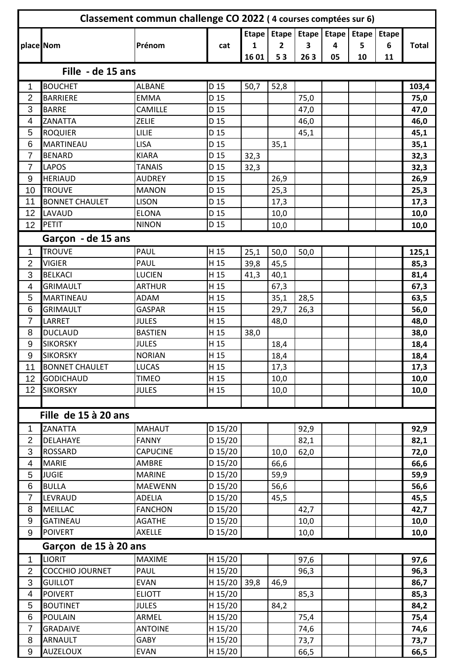| Classement commun challenge CO 2022 (4 courses comptées sur 6) |                        |                 |                 |      |                |      |    |                                       |              |              |
|----------------------------------------------------------------|------------------------|-----------------|-----------------|------|----------------|------|----|---------------------------------------|--------------|--------------|
|                                                                |                        |                 |                 |      |                |      |    | Etape   Etape   Etape   Etape   Etape | <b>Etape</b> |              |
| place Nom                                                      |                        | Prénom          | cat             | 1    | $\overline{2}$ | 3    | 4  | 5                                     | 6            | <b>Total</b> |
|                                                                |                        |                 |                 | 1601 | 53             | 263  | 05 | 10                                    | 11           |              |
|                                                                | Fille - de 15 ans      |                 |                 |      |                |      |    |                                       |              |              |
| 1                                                              | <b>BOUCHET</b>         | <b>ALBANE</b>   | D 15            | 50,7 | 52,8           |      |    |                                       |              | 103,4        |
| $\overline{2}$                                                 | <b>BARRIERE</b>        | <b>EMMA</b>     | D 15            |      |                | 75,0 |    |                                       |              | 75,0         |
| 3                                                              | <b>BARRE</b>           | CAMILLE         | D <sub>15</sub> |      |                | 47,0 |    |                                       |              | 47,0         |
| 4                                                              | ZANATTA                | ZELIE           | D 15            |      |                | 46,0 |    |                                       |              | 46,0         |
| 5                                                              | <b>ROQUIER</b>         | LILIE           | D <sub>15</sub> |      |                | 45,1 |    |                                       |              | 45,1         |
| 6                                                              | <b>MARTINEAU</b>       | <b>LISA</b>     | D 15            |      | 35,1           |      |    |                                       |              | 35,1         |
| $\overline{7}$                                                 | <b>BENARD</b>          | <b>KIARA</b>    | D 15            | 32,3 |                |      |    |                                       |              | 32,3         |
| $\overline{7}$                                                 | LAPOS                  | <b>TANAIS</b>   | D <sub>15</sub> | 32,3 |                |      |    |                                       |              | 32,3         |
| $9\,$                                                          | <b>HERIAUD</b>         | <b>AUDREY</b>   | D 15            |      | 26,9           |      |    |                                       |              | 26,9         |
| 10                                                             | <b>TROUVE</b>          | <b>MANON</b>    | D 15            |      | 25,3           |      |    |                                       |              | 25,3         |
| 11                                                             | <b>BONNET CHAULET</b>  | <b>LISON</b>    | D 15            |      | 17,3           |      |    |                                       |              | 17,3         |
| 12                                                             | <b>LAVAUD</b>          | <b>ELONA</b>    | D 15            |      | 10,0           |      |    |                                       |              | 10,0         |
| 12                                                             | PETIT                  | <b>NINON</b>    | D 15            |      | 10,0           |      |    |                                       |              | 10,0         |
|                                                                | Garçon - de 15 ans     |                 |                 |      |                |      |    |                                       |              |              |
| 1                                                              | <b>TROUVE</b>          | PAUL            | H 15            | 25,1 | 50,0           | 50,0 |    |                                       |              | 125,1        |
| $\overline{2}$                                                 | <b>VIGIER</b>          | PAUL            | H 15            | 39,8 | 45,5           |      |    |                                       |              | 85,3         |
| 3                                                              | <b>BELKACI</b>         | <b>LUCIEN</b>   | H 15            | 41,3 | 40,1           |      |    |                                       |              | 81,4         |
| 4                                                              | <b>GRIMAULT</b>        | <b>ARTHUR</b>   | H 15            |      | 67,3           |      |    |                                       |              | 67,3         |
| 5                                                              | MARTINEAU              | <b>ADAM</b>     | H 15            |      | 35,1           | 28,5 |    |                                       |              | 63,5         |
| $6\phantom{1}6$                                                | <b>GRIMAULT</b>        | <b>GASPAR</b>   | H 15            |      | 29,7           | 26,3 |    |                                       |              | 56,0         |
| $\overline{7}$                                                 | LARRET                 | <b>JULES</b>    | H 15            |      | 48,0           |      |    |                                       |              | 48,0         |
| 8                                                              | <b>DUCLAUD</b>         | <b>BASTIEN</b>  | H 15            | 38,0 |                |      |    |                                       |              | 38,0         |
| 9                                                              | <b>SIKORSKY</b>        | <b>JULES</b>    | H 15            |      | 18,4           |      |    |                                       |              | 18,4         |
| $9\,$                                                          | <b>SIKORSKY</b>        | <b>NORIAN</b>   | H 15            |      | 18,4           |      |    |                                       |              | 18,4         |
| 11                                                             | <b>BONNET CHAULET</b>  | <b>LUCAS</b>    | $H_1$           |      | 17,3           |      |    |                                       |              | 17,3         |
| 12                                                             | <b>GODICHAUD</b>       | <b>TIMEO</b>    | H 15            |      | 10,0           |      |    |                                       |              | 10,0         |
| 12                                                             | <b>SIKORSKY</b>        | <b>JULES</b>    | H 15            |      | 10,0           |      |    |                                       |              | 10,0         |
|                                                                |                        |                 |                 |      |                |      |    |                                       |              |              |
|                                                                | Fille de 15 à 20 ans   |                 |                 |      |                |      |    |                                       |              |              |
| 1                                                              | ZANATTA                | <b>MAHAUT</b>   | D 15/20         |      |                | 92,9 |    |                                       |              | 92,9         |
| $\overline{2}$                                                 | <b>DELAHAYE</b>        | <b>FANNY</b>    | D 15/20         |      |                | 82,1 |    |                                       |              | 82,1         |
| 3                                                              | <b>ROSSARD</b>         | <b>CAPUCINE</b> | D 15/20         |      | 10,0           | 62,0 |    |                                       |              | 72,0         |
| 4                                                              | <b>MARIE</b>           | <b>AMBRE</b>    | D 15/20         |      | 66,6           |      |    |                                       |              | 66,6         |
| 5                                                              | <b>JUGIE</b>           | <b>MARINE</b>   | D 15/20         |      | 59,9           |      |    |                                       |              | 59,9         |
| $6\phantom{1}6$                                                | <b>BULLA</b>           | <b>MAEWENN</b>  | D 15/20         |      | 56,6           |      |    |                                       |              | 56,6         |
| $\overline{7}$                                                 | LEVRAUD                | <b>ADELIA</b>   | D 15/20         |      | 45,5           |      |    |                                       |              | 45,5         |
| $\,8\,$                                                        | <b>MEILLAC</b>         | <b>FANCHON</b>  | D 15/20         |      |                | 42,7 |    |                                       |              | 42,7         |
| $9\,$                                                          | <b>GATINEAU</b>        | <b>AGATHE</b>   | D 15/20         |      |                | 10,0 |    |                                       |              | 10,0         |
| $9\,$                                                          | <b>POIVERT</b>         | AXELLE          | D 15/20         |      |                | 10,0 |    |                                       |              | 10,0         |
| Garçon de 15 à 20 ans                                          |                        |                 |                 |      |                |      |    |                                       |              |              |
| $\mathbf 1$                                                    | <b>LIORIT</b>          | <b>MAXIME</b>   | H 15/20         |      |                | 97,6 |    |                                       |              | 97,6         |
| $\overline{2}$                                                 | <b>COCCHIO JOURNET</b> | PAUL            | H 15/20         |      |                | 96,3 |    |                                       |              | 96,3         |
| $\mathbf{3}$                                                   | <b>GUILLOT</b>         | <b>EVAN</b>     | $H$ 15/20       | 39,8 | 46,9           |      |    |                                       |              | 86,7         |
| 4                                                              | <b>POIVERT</b>         | <b>ELIOTT</b>   | H 15/20         |      |                | 85,3 |    |                                       |              | 85,3         |
| 5                                                              | <b>BOUTINET</b>        | <b>JULES</b>    | H 15/20         |      | 84,2           |      |    |                                       |              | 84,2         |
| $6\phantom{1}6$                                                | <b>POULAIN</b>         | ARMEL           | H 15/20         |      |                | 75,4 |    |                                       |              | 75,4         |
| $\overline{7}$                                                 | <b>GRADAIVE</b>        | <b>ANTOINE</b>  | H 15/20         |      |                | 74,6 |    |                                       |              | 74,6         |
| $\,8\,$                                                        | <b>ARNAULT</b>         | GABY            | H 15/20         |      |                | 73,7 |    |                                       |              | 73,7         |
| $9\,$                                                          | <b>AUZELOUX</b>        | <b>EVAN</b>     | H 15/20         |      |                | 66,5 |    |                                       |              | 66,5         |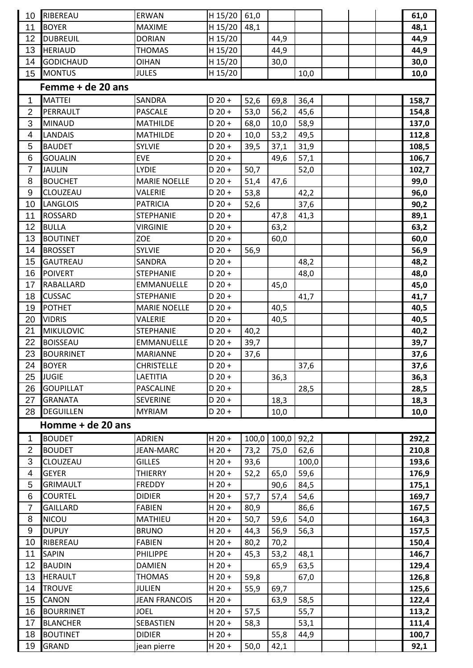| 10              | RIBEREAU          | ERWAN                | $H$ 15/20 | 61,0  |       |       |  | 61,0  |
|-----------------|-------------------|----------------------|-----------|-------|-------|-------|--|-------|
| 11              | <b>BOYER</b>      | <b>MAXIME</b>        | H 15/20   | 48,1  |       |       |  | 48,1  |
| 12              | <b>DUBREUIL</b>   | <b>DORIAN</b>        | H 15/20   |       | 44,9  |       |  | 44,9  |
| 13              | <b>HERIAUD</b>    | <b>THOMAS</b>        | H 15/20   |       | 44,9  |       |  | 44,9  |
| 14              | <b>GODICHAUD</b>  | <b>OIHAN</b>         | H 15/20   |       | 30,0  |       |  | 30,0  |
| 15              | <b>MONTUS</b>     | <b>JULES</b>         | H 15/20   |       |       | 10,0  |  | 10,0  |
|                 | Femme + de 20 ans |                      |           |       |       |       |  |       |
| 1               | <b>MATTEI</b>     | SANDRA               | $D 20 +$  | 52,6  | 69,8  | 36,4  |  | 158,7 |
| $\overline{2}$  | PERRAULT          | <b>PASCALE</b>       | $D 20 +$  | 53,0  | 56,2  | 45,6  |  | 154,8 |
| 3               | <b>MINAUD</b>     | <b>MATHILDE</b>      | $D$ 20 +  | 68,0  | 10,0  | 58,9  |  | 137,0 |
| 4               | LANDAIS           | <b>MATHILDE</b>      | $D 20 +$  | 10,0  | 53,2  | 49,5  |  | 112,8 |
| 5               | <b>BAUDET</b>     | <b>SYLVIE</b>        | $D$ 20 +  | 39,5  | 37,1  | 31,9  |  | 108,5 |
| $6\phantom{1}6$ | <b>GOUALIN</b>    | <b>EVE</b>           | $D$ 20 +  |       | 49,6  | 57,1  |  | 106,7 |
| $\overline{7}$  | <b>JAULIN</b>     | <b>LYDIE</b>         | $D 20 +$  | 50,7  |       | 52,0  |  | 102,7 |
| 8               | <b>BOUCHET</b>    | <b>MARIE NOELLE</b>  | $D 20 +$  | 51,4  | 47,6  |       |  | 99,0  |
| $9\,$           | CLOUZEAU          | VALERIE              | $D 20 +$  | 53,8  |       | 42,2  |  | 96,0  |
| 10              | <b>LANGLOIS</b>   | <b>PATRICIA</b>      | $D$ 20 +  | 52,6  |       | 37,6  |  | 90,2  |
| 11              | <b>ROSSARD</b>    | <b>STEPHANIE</b>     | $D 20 +$  |       | 47,8  | 41,3  |  | 89,1  |
| 12              | <b>BULLA</b>      | <b>VIRGINIE</b>      | $D 20 +$  |       | 63,2  |       |  | 63,2  |
| 13              | <b>BOUTINET</b>   | ZOE                  | $D$ 20 +  |       | 60,0  |       |  | 60,0  |
| 14              | <b>BROSSET</b>    | <b>SYLVIE</b>        | $D 20 +$  | 56,9  |       |       |  | 56,9  |
| 15              | <b>GAUTREAU</b>   | SANDRA               | $D 20 +$  |       |       | 48,2  |  | 48,2  |
| 16              | <b>POIVERT</b>    | <b>STEPHANIE</b>     | $D 20 +$  |       |       | 48,0  |  | 48,0  |
| 17              | <b>RABALLARD</b>  | EMMANUELLE           | $D 20 +$  |       | 45,0  |       |  | 45,0  |
| 18              | <b>CUSSAC</b>     | <b>STEPHANIE</b>     | $D 20 +$  |       |       | 41,7  |  | 41,7  |
| 19              | <b>POTHET</b>     | <b>MARIE NOELLE</b>  | $D 20 +$  |       | 40,5  |       |  | 40,5  |
| 20              | <b>VIDRIS</b>     | VALERIE              | $D 20 +$  |       | 40,5  |       |  | 40,5  |
| 21              | <b>MIKULOVIC</b>  | <b>STEPHANIE</b>     | $D 20 +$  | 40,2  |       |       |  | 40,2  |
| 22              | <b>BOISSEAU</b>   | <b>EMMANUELLE</b>    | $D$ 20 +  | 39,7  |       |       |  | 39,7  |
| 23              | <b>BOURRINET</b>  | <b>MARIANNE</b>      | $D 20 +$  | 37,6  |       |       |  | 37,6  |
| 24              | <b>BOYER</b>      | <b>CHRISTELLE</b>    | $D 20 +$  |       |       | 37,6  |  | 37,6  |
| 25              | <b>JUGIE</b>      | LAETITIA             | $D 20 +$  |       | 36,3  |       |  | 36,3  |
| 26              | <b>GOUPILLAT</b>  | PASCALINE            | $D 20 +$  |       |       | 28,5  |  | 28,5  |
| 27              | <b>GRANATA</b>    | <b>SEVERINE</b>      | $D 20 +$  |       | 18,3  |       |  | 18,3  |
| 28              | <b>DEGUILLEN</b>  | <b>MYRIAM</b>        | $D 20 +$  |       | 10,0  |       |  | 10,0  |
|                 | Homme + de 20 ans |                      |           |       |       |       |  |       |
| 1               | <b>BOUDET</b>     | <b>ADRIEN</b>        | $H$ 20 +  | 100,0 | 100,0 | 92,2  |  | 292,2 |
| $\overline{2}$  | <b>BOUDET</b>     | <b>JEAN-MARC</b>     | $H$ 20 +  | 73,2  | 75,0  | 62,6  |  | 210,8 |
| 3               | CLOUZEAU          | <b>GILLES</b>        | $H 20 +$  | 93,6  |       | 100,0 |  | 193,6 |
| 4               | <b>GEYER</b>      | <b>THIERRY</b>       | $H 20 +$  | 52,2  | 65,0  | 59,6  |  | 176,9 |
| 5               | <b>GRIMAULT</b>   | <b>FREDDY</b>        | $H 20 +$  |       | 90,6  | 84,5  |  | 175,1 |
| 6               | <b>COURTEL</b>    | <b>DIDIER</b>        | $H 20 +$  | 57,7  | 57,4  | 54,6  |  | 169,7 |
| $\overline{7}$  | <b>GAILLARD</b>   | <b>FABIEN</b>        | $H$ 20 +  | 80,9  |       | 86,6  |  | 167,5 |
| 8               | NICOU             | <b>MATHIEU</b>       | $H$ 20 +  | 50,7  | 59,6  | 54,0  |  | 164,3 |
| $9\,$           | <b>DUPUY</b>      | <b>BRUNO</b>         | $H 20 +$  | 44,3  | 56,9  | 56,3  |  | 157,5 |
| 10              | RIBEREAU          | <b>FABIEN</b>        | $H$ 20 +  | 80,2  | 70,2  |       |  | 150,4 |
| 11              | <b>SAPIN</b>      | <b>PHILIPPE</b>      | $H 20 +$  | 45,3  | 53,2  | 48,1  |  | 146,7 |
| 12              | <b>BAUDIN</b>     | <b>DAMIEN</b>        | $H 20 +$  |       | 65,9  | 63,5  |  | 129,4 |
| 13              | <b>HERAULT</b>    | <b>THOMAS</b>        | $H 20 +$  | 59,8  |       | 67,0  |  | 126,8 |
| 14              | <b>TROUVE</b>     | <b>JULIEN</b>        | $H 20 +$  | 55,9  | 69,7  |       |  | 125,6 |
| 15              | <b>CANON</b>      | <b>JEAN FRANCOIS</b> | $H 20 +$  |       | 63,9  | 58,5  |  | 122,4 |
| 16              | <b>BOURRINET</b>  | <b>JOEL</b>          | $H 20 +$  | 57,5  |       | 55,7  |  | 113,2 |
| 17              | <b>BLANCHER</b>   | SEBASTIEN            | $H 20 +$  | 58,3  |       | 53,1  |  | 111,4 |
| 18              | <b>BOUTINET</b>   | <b>DIDIER</b>        | $H 20 +$  |       | 55,8  | 44,9  |  | 100,7 |
| 19              | <b>GRAND</b>      | jean pierre          | $H 20 +$  | 50,0  | 42,1  |       |  | 92,1  |